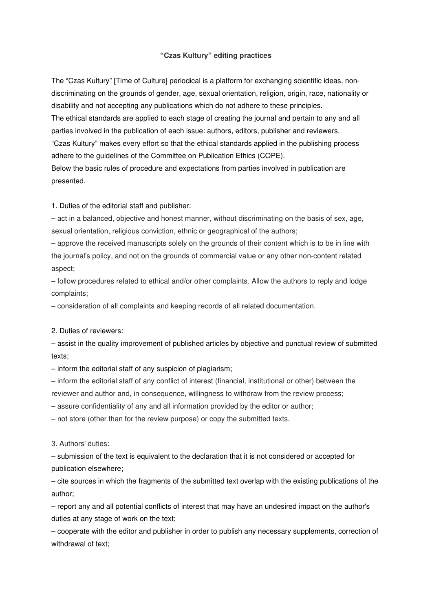## **"Czas Kultury" editing practices**

The "Czas Kultury" [Time of Culture] periodical is a platform for exchanging scientific ideas, nondiscriminating on the grounds of gender, age, sexual orientation, religion, origin, race, nationality or disability and not accepting any publications which do not adhere to these principles. The ethical standards are applied to each stage of creating the journal and pertain to any and all parties involved in the publication of each issue: authors, editors, publisher and reviewers. "Czas Kultury" makes every effort so that the ethical standards applied in the publishing process adhere to the guidelines of the Committee on Publication Ethics (COPE). Below the basic rules of procedure and expectations from parties involved in publication are presented.

1. Duties of the editorial staff and publisher:

– act in a balanced, objective and honest manner, without discriminating on the basis of sex, age, sexual orientation, religious conviction, ethnic or geographical of the authors;

– approve the received manuscripts solely on the grounds of their content which is to be in line with the journal's policy, and not on the grounds of commercial value or any other non-content related aspect;

– follow procedures related to ethical and/or other complaints. Allow the authors to reply and lodge complaints;

– consideration of all complaints and keeping records of all related documentation.

2. Duties of reviewers:

– assist in the quality improvement of published articles by objective and punctual review of submitted texts;

– inform the editorial staff of any suspicion of plagiarism;

– inform the editorial staff of any conflict of interest (financial, institutional or other) between the

reviewer and author and, in consequence, willingness to withdraw from the review process;

– assure confidentiality of any and all information provided by the editor or author;

– not store (other than for the review purpose) or copy the submitted texts.

3. Authors' duties:

– submission of the text is equivalent to the declaration that it is not considered or accepted for publication elsewhere;

– cite sources in which the fragments of the submitted text overlap with the existing publications of the author;

– report any and all potential conflicts of interest that may have an undesired impact on the author's duties at any stage of work on the text;

– cooperate with the editor and publisher in order to publish any necessary supplements, correction of withdrawal of text;